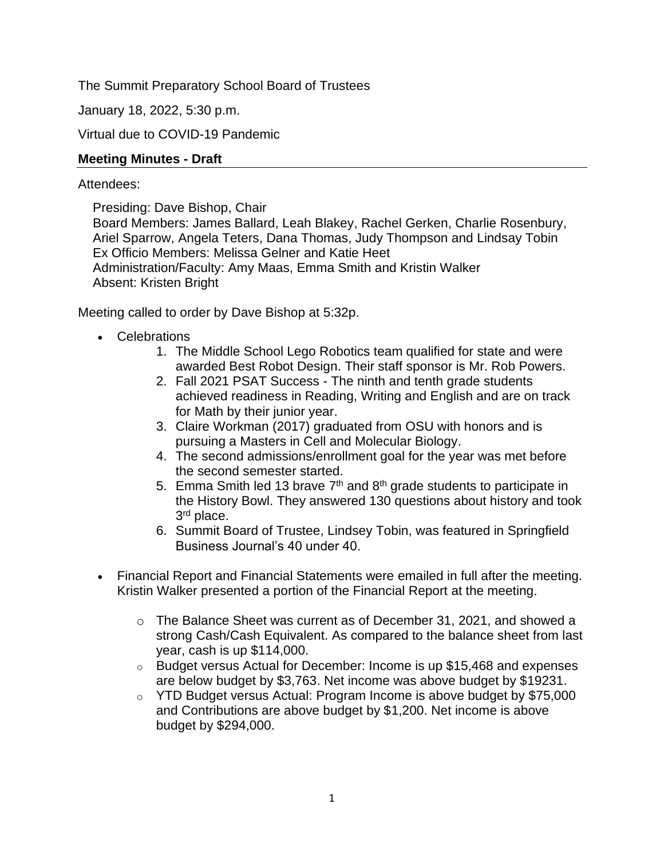The Summit Preparatory School Board of Trustees

January 18, 2022, 5:30 p.m.

Virtual due to COVID-19 Pandemic

# **Meeting Minutes - Draft**

## Attendees:

Presiding: Dave Bishop, Chair

Board Members: James Ballard, Leah Blakey, Rachel Gerken, Charlie Rosenbury, Ariel Sparrow, Angela Teters, Dana Thomas, Judy Thompson and Lindsay Tobin Ex Officio Members: Melissa Gelner and Katie Heet Administration/Faculty: Amy Maas, Emma Smith and Kristin Walker Absent: Kristen Bright

Meeting called to order by Dave Bishop at 5:32p.

- Celebrations
	- 1. The Middle School Lego Robotics team qualified for state and were awarded Best Robot Design. Their staff sponsor is Mr. Rob Powers.
	- 2. Fall 2021 PSAT Success The ninth and tenth grade students achieved readiness in Reading, Writing and English and are on track for Math by their junior year.
	- 3. Claire Workman (2017) graduated from OSU with honors and is pursuing a Masters in Cell and Molecular Biology.
	- 4. The second admissions/enrollment goal for the year was met before the second semester started.
	- 5. Emma Smith led 13 brave  $7<sup>th</sup>$  and  $8<sup>th</sup>$  grade students to participate in the History Bowl. They answered 130 questions about history and took 3<sup>rd</sup> place.
	- 6. Summit Board of Trustee, Lindsey Tobin, was featured in Springfield Business Journal's 40 under 40.
- Financial Report and Financial Statements were emailed in full after the meeting. Kristin Walker presented a portion of the Financial Report at the meeting.
	- o The Balance Sheet was current as of December 31, 2021, and showed a strong Cash/Cash Equivalent. As compared to the balance sheet from last year, cash is up \$114,000.
	- o Budget versus Actual for December: Income is up \$15,468 and expenses are below budget by \$3,763. Net income was above budget by \$19231.
	- o YTD Budget versus Actual: Program Income is above budget by \$75,000 and Contributions are above budget by \$1,200. Net income is above budget by \$294,000.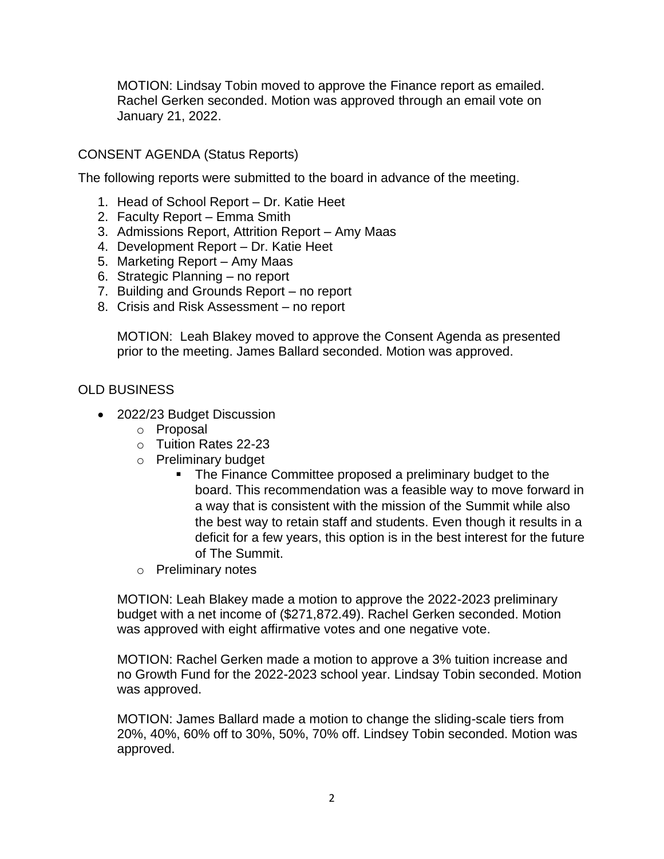MOTION: Lindsay Tobin moved to approve the Finance report as emailed. Rachel Gerken seconded. Motion was approved through an email vote on January 21, 2022.

### CONSENT AGENDA (Status Reports)

The following reports were submitted to the board in advance of the meeting.

- 1. Head of School Report Dr. Katie Heet
- 2. Faculty Report Emma Smith
- 3. Admissions Report, Attrition Report Amy Maas
- 4. Development Report Dr. Katie Heet
- 5. Marketing Report Amy Maas
- 6. Strategic Planning no report
- 7. Building and Grounds Report no report
- 8. Crisis and Risk Assessment no report

MOTION: Leah Blakey moved to approve the Consent Agenda as presented prior to the meeting. James Ballard seconded. Motion was approved.

#### OLD BUSINESS

- 2022/23 Budget Discussion
	- o Proposal
	- o Tuition Rates 22-23
	- o Preliminary budget
		- The Finance Committee proposed a preliminary budget to the board. This recommendation was a feasible way to move forward in a way that is consistent with the mission of the Summit while also the best way to retain staff and students. Even though it results in a deficit for a few years, this option is in the best interest for the future of The Summit.
	- o Preliminary notes

MOTION: Leah Blakey made a motion to approve the 2022-2023 preliminary budget with a net income of (\$271,872.49). Rachel Gerken seconded. Motion was approved with eight affirmative votes and one negative vote.

MOTION: Rachel Gerken made a motion to approve a 3% tuition increase and no Growth Fund for the 2022-2023 school year. Lindsay Tobin seconded. Motion was approved.

MOTION: James Ballard made a motion to change the sliding-scale tiers from 20%, 40%, 60% off to 30%, 50%, 70% off. Lindsey Tobin seconded. Motion was approved.